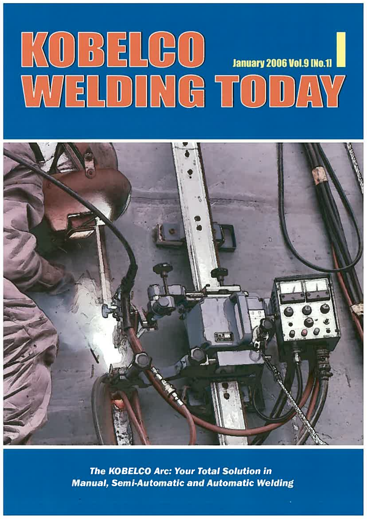# KOBELGO ANAL



**The KOBELCO Arc: Your Total Solution in Manual, Semi-Automatic and Automatic Welding**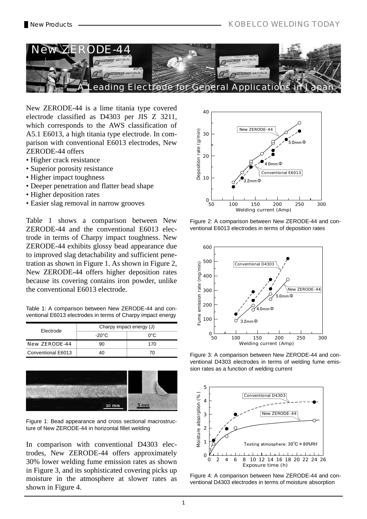

New ZERODE-44 is a lime titania type covered electrode classified as D4303 per JIS Z 3211, which corresponds to the AWS classification of A5.1 E6013, a high titania type electrode. In comparison with conventional E6013 electrodes, New ZERODE-44 offers

- Higher crack resistance
- Superior porosity resistance
- Higher impact toughness
- Deeper penetration and flatter bead shape
- Higher deposition rates
- Easier slag removal in narrow grooves

Table 1 shows a comparison between New ZERODE-44 and the conventional E6013 electrode in terms of Charpy impact toughness. New ZERODE-44 exhibits glossy bead appearance due to improved slag detachability and sufficient penetration as shown in Figure 1. As shown in Figure 2, New ZERODE-44 offers higher deposition rates because its covering contains iron powder, unlike the conventional E6013 electrode.

Table 1: A comparison between New ZERODE-44 and conventional E6013 electrodes in terms of Charpy impact energy

| Electrode            | Charpy impact energy (J) |     |  |  |
|----------------------|--------------------------|-----|--|--|
|                      | -20°C                    | ∩°C |  |  |
| <b>New ZERODE-44</b> | 90                       | 170 |  |  |
| Conventional E6013   |                          |     |  |  |



Figure 1: Bead appearance and cross sectional macrostructure of New ZERODE-44 in horizontal fillet welding

In comparison with conventional D4303 electrodes, New ZERODE-44 offers approximately 30% lower welding fume emission rates as shown in Figure 3, and its sophisticated covering picks up moisture in the atmosphere at slower rates as shown in Figure 4.



Figure 2: A comparison between New ZERODE-44 and conventional E6013 electrodes in terms of deposition rates



Figure 3: A comparison between New ZERODE-44 and conventional D4303 electrodes in terms of welding fume emission rates as a function of welding current



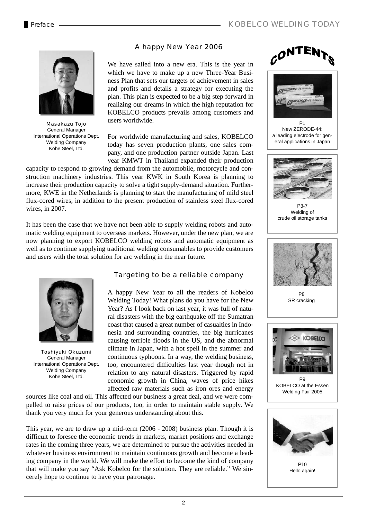# A happy New Year 2006



Masakazu Tojo General Manager International Operations Dept. Welding Company Kobe Steel, Ltd.

We have sailed into a new era. This is the year in which we have to make up a new Three-Year Business Plan that sets our targets of achievement in sales and profits and details a strategy for executing the plan. This plan is expected to be a big step forward in realizing our dreams in which the high reputation for KOBELCO products prevails among customers and users worldwide.

For worldwide manufacturing and sales, KOBELCO today has seven production plants, one sales company, and one production partner outside Japan. Last year KMWT in Thailand expanded their production

capacity to respond to growing demand from the automobile, motorcycle and construction machinery industries. This year KWK in South Korea is planning to increase their production capacity to solve a tight supply-demand situation. Furthermore, KWE in the Netherlands is planning to start the manufacturing of mild steel flux-cored wires, in addition to the present production of stainless steel flux-cored wires, in 2007.

It has been the case that we have not been able to supply welding robots and automatic welding equipment to overseas markets. However, under the new plan, we are now planning to export KOBELCO welding robots and automatic equipment as well as to continue supplying traditional welding consumables to provide customers and users with the total solution for arc welding in the near future.



Toshiyuki Okuzumi General Manager International Operations Dept. Welding Company Kobe Steel, Ltd.

# Targeting to be a reliable company

A happy New Year to all the readers of Kobelco Welding Today! What plans do you have for the New Year? As I look back on last year, it was full of natural disasters with the big earthquake off the Sumatran coast that caused a great number of casualties in Indonesia and surrounding countries, the big hurricanes causing terrible floods in the US, and the abnormal climate in Japan, with a hot spell in the summer and continuous typhoons. In a way, the welding business, too, encountered difficulties last year though not in relation to any natural disasters. Triggered by rapid economic growth in China, waves of price hikes affected raw materials such as iron ores and energy

sources like coal and oil. This affected our business a great deal, and we were compelled to raise prices of our products, too, in order to maintain stable supply. We thank you very much for your generous understanding about this.

This year, we are to draw up a mid-term (2006 - 2008) business plan. Though it is difficult to foresee the economic trends in markets, market positions and exchange rates in the coming three years, we are determined to pursue the activities needed in whatever business environment to maintain continuous growth and become a leading company in the world. We will make the effort to become the kind of company that will make you say "Ask Kobelco for the solution. They are reliable." We sincerely hope to continue to have your patronage.





New ZERODE-44: a leading electrode for general applications in Japan



P3-7 Welding of crude oil storage tanks



P8 SR cracking



P9 KOBELCO at the Essen Welding Fair 2005



 $P10$ Hello again!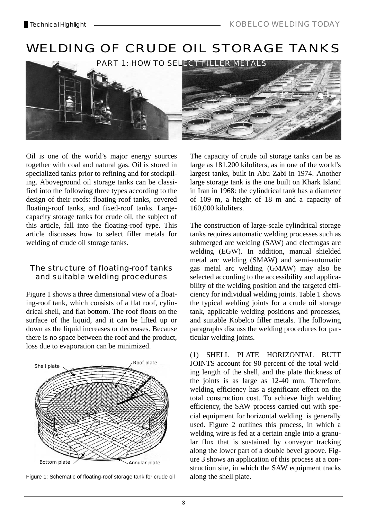

Oil is one of the world's major energy sources together with coal and natural gas. Oil is stored in specialized tanks prior to refining and for stockpiling. Aboveground oil storage tanks can be classified into the following three types according to the design of their roofs: floating-roof tanks, covered floating-roof tanks, and fixed-roof tanks. Largecapacity storage tanks for crude oil, the subject of this article, fall into the floating-roof type. This article discusses how to select filler metals for welding of crude oil storage tanks.

# The structure of floating-roof tanks and suitable welding procedures

Figure 1 shows a three dimensional view of a floating-roof tank, which consists of a flat roof, cylindrical shell, and flat bottom. The roof floats on the surface of the liquid, and it can be lifted up or down as the liquid increases or decreases. Because there is no space between the roof and the product, loss due to evaporation can be minimized.



Figure 1: Schematic of floating-roof storage tank for crude oil

The capacity of crude oil storage tanks can be as large as 181,200 kiloliters, as in one of the world's largest tanks, built in Abu Zabi in 1974. Another large storage tank is the one built on Khark Island in Iran in 1968: the cylindrical tank has a diameter of 109 m, a height of 18 m and a capacity of 160,000 kiloliters.

The construction of large-scale cylindrical storage tanks requires automatic welding processes such as submerged arc welding (SAW) and electrogas arc welding (EGW). In addition, manual shielded metal arc welding (SMAW) and semi-automatic gas metal arc welding (GMAW) may also be selected according to the accessibility and applicability of the welding position and the targeted efficiency for individual welding joints. Table 1 shows the typical welding joints for a crude oil storage tank, applicable welding positions and processes, and suitable Kobelco filler metals. The following paragraphs discuss the welding procedures for particular welding joints.

(1) SHELL PLATE HORIZONTAL BUTT JOINTS account for 90 percent of the total welding length of the shell, and the plate thickness of the joints is as large as 12-40 mm. Therefore, welding efficiency has a significant effect on the total construction cost. To achieve high welding efficiency, the SAW process carried out with special equipment for horizontal welding is generally used. Figure 2 outlines this process, in which a welding wire is fed at a certain angle into a granular flux that is sustained by conveyor tracking along the lower part of a double bevel groove. Figure 3 shows an application of this process at a construction site, in which the SAW equipment tracks along the shell plate.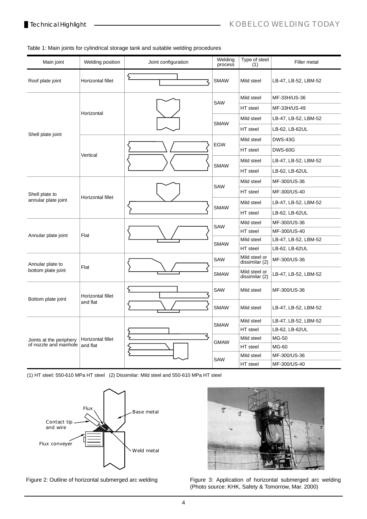## Table 1: Main joints for cylindrical storage tank and suitable welding procedures

| Main joint                                       | Welding position              | Joint configuration | Welding<br>process | Type of steel<br>(1)            | Filler metal         |
|--------------------------------------------------|-------------------------------|---------------------|--------------------|---------------------------------|----------------------|
| Roof plate joint                                 | Horizontal fillet             | ٤                   | <b>SMAW</b>        | Mild steel                      | LB-47, LB-52, LBM-52 |
|                                                  |                               |                     | SAW                | Mild steel                      | MF-33H/US-36         |
|                                                  |                               |                     |                    | HT steel                        | MF-33H/US-49         |
|                                                  | Horizontal                    |                     | <b>SMAW</b>        | Mild steel                      | LB-47, LB-52, LBM-52 |
|                                                  |                               |                     |                    | HT steel                        | LB-62, LB-62UL       |
| Shell plate joint                                |                               |                     |                    | Mild steel                      | <b>DWS-43G</b>       |
|                                                  |                               |                     | <b>EGW</b>         | HT steel                        | <b>DWS-60G</b>       |
|                                                  | Vertical                      |                     |                    | Mild steel                      | LB-47, LB-52, LBM-52 |
|                                                  |                               |                     | <b>SMAW</b>        | HT steel                        | LB-62, LB-62UL       |
| Shell plate to<br>annular plate joint            | Horizontal fillet             |                     | SAW                | Mild steel                      | MF-300/US-36         |
|                                                  |                               |                     |                    | HT steel                        | MF-300/US-40         |
|                                                  |                               |                     | <b>SMAW</b>        | Mild steel                      | LB-47, LB-52, LBM-52 |
|                                                  |                               |                     |                    | HT steel                        | LB-62, LB-62UL       |
|                                                  | Flat                          |                     | SAW                | Mild steel                      | MF-300/US-36         |
|                                                  |                               |                     |                    | HT steel                        | MF-300/US-40         |
| Annular plate joint                              |                               |                     | <b>SMAW</b>        | Mild steel                      | LB-47, LB-52, LBM-52 |
|                                                  |                               |                     |                    | HT steel                        | LB-62, LB-62UL       |
| Annular plate to<br>bottom plate joint           | Flat                          |                     | SAW                | Mild steel or<br>dissimilar (2) | MF-300/US-36         |
|                                                  |                               |                     | <b>SMAW</b>        | Mild steel or<br>dissimilar (2) | LB-47, LB-52, LBM-52 |
| Bottom plate joint                               | Horizontal fillet<br>and flat |                     | SAW                | Mild steel                      | MF-300/US-36         |
|                                                  |                               |                     | <b>SMAW</b>        | Mild steel                      | LB-47, LB-52, LBM-52 |
| Joints at the periphery<br>of nozzle and manhole | Horizontal fillet<br>and flat |                     | <b>SMAW</b>        | Mild steel                      | LB-47, LB-52, LBM-52 |
|                                                  |                               |                     |                    | HT steel                        | LB-62, LB-62UL       |
|                                                  |                               |                     | <b>GMAW</b>        | Mild steel                      | MG-50                |
|                                                  |                               |                     |                    | HT steel                        | MG-60                |
|                                                  |                               |                     | <b>SAW</b>         | Mild steel                      | MF-300/US-36         |
|                                                  |                               |                     |                    | HT steel                        | MF-300/US-40         |

(1) HT steel: 550-610 MPa HT steel (2) Dissimilar: Mild steel and 550-610 MPa HT steel





Figure 2: Outline of horizontal submerged arc welding Figure 3: Application of horizontal submerged arc welding (Photo source: KHK, Safety & Tomorrow, Mar. 2000)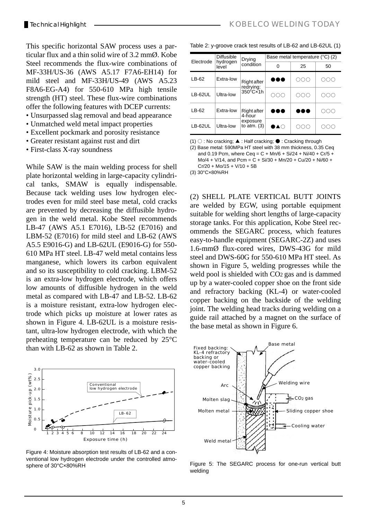This specific horizontal SAW process uses a particular flux and a thin solid wire of 3.2 mmØ. Kobe Steel recommends the flux-wire combinations of MF-33H/US-36 (AWS A5.17 F7A6-EH14) for mild steel and MF-33H/US-49 (AWS A5.23 F8A6-EG-A4) for 550-610 MPa high tensile strength (HT) steel. These flux-wire combinations offer the following features with DCEP currents:

- Unsurpassed slag removal and bead appearance
- Unmatched weld metal impact properties
- Excellent pockmark and porosity resistance
- Greater resistant against rust and dirt
- First-class X-ray soundness

While SAW is the main welding process for shell plate horizontal welding in large-capacity cylindrical tanks, SMAW is equally indispensable. Because tack welding uses low hydrogen electrodes even for mild steel base metal, cold cracks are prevented by decreasing the diffusible hydrogen in the weld metal. Kobe Steel recommends LB-47 (AWS A5.1 E7016), LB-52 (E7016) and LBM-52 (E7016) for mild steel and LB-62 (AWS A5.5 E9016-G) and LB-62UL (E9016-G) for 550- 610 MPa HT steel. LB-47 weld metal contains less manganese, which lowers its carbon equivalent and so its susceptibility to cold cracking. LBM-52 is an extra-low hydrogen electrode, which offers low amounts of diffusible hydrogen in the weld metal as compared with LB-47 and LB-52. LB-62 is a moisture resistant, extra-low hydrogen electrode which picks up moisture at lower rates as shown in Figure 4. LB-62UL is a moisture resistant, ultra-low hydrogen electrode, with which the preheating temperature can be reduced by 25°C than with LB-62 as shown in Table 2.



Figure 4: Moisture absorption test results of LB-62 and a conventional low hydrogen electrode under the controlled atmosphere of 30°C×80%RH

|  | Table 2: y-groove crack test results of LB-62 and LB-62UL (1) |  |  |
|--|---------------------------------------------------------------|--|--|
|--|---------------------------------------------------------------|--|--|

|                | <b>Diffusible</b> | Drying<br>condition             | Base metal temperature (°C) (2) |        |     |  |
|----------------|-------------------|---------------------------------|---------------------------------|--------|-----|--|
| Electrode      | hydrogen<br>level |                                 | 0                               | 25     | 50  |  |
| $LB-62$        | Extra-low         | <b>Right after</b><br>redrying: | T.                              | )()∩   |     |  |
| LB-62UL        | Ultra-low         | $350^{\circ}$ Cx1h              |                                 | .)()() |     |  |
| LB-62          | Extra-low         | <b>Right after</b><br>4-hour    | 88 C                            | ه ه    | ついい |  |
| <b>LB-62UL</b> | Ultra-low         | exposure<br>to $atm.$ (3)       | ▎▲∈)                            |        |     |  |

(1) ○ : No cracking; ▲ : Half cracking; ● : Cracking through

(2) Base metal: 590MPa HT steel with 38 mm thickness, 0.35 Ceq and 0.19 Pcm, where  $Ceq = C + Mn/6 + Si/24 + Ni/40 + Cr/5 +$  $Mo/4 + V/14$ , and  $Pcm = C + Si/30 + Mn/20 + Cu/20 + Ni/60 +$  $Cr/20 + Mo/15 + V/10 + 5B$ 

(3) 30°C×80%RH

(2) SHELL PLATE VERTICAL BUTT JOINTS are welded by EGW, using portable equipment suitable for welding short lengths of large-capacity storage tanks. For this application, Kobe Steel recommends the SEGARC process, which features easy-to-handle equipment (SEGARC-2Z) and uses 1.6-mmØ flux-cored wires, DWS-43G for mild steel and DWS-60G for 550-610 MPa HT steel. As shown in Figure 5, welding progresses while the weld pool is shielded with CO2 gas and is dammed up by a water-cooled copper shoe on the front side and refractory backing (KL-4) or water-cooled copper backing on the backside of the welding joint. The welding head tracks during welding on a guide rail attached by a magnet on the surface of the base metal as shown in Figure 6.



Figure 5: The SEGARC process for one-run vertical butt welding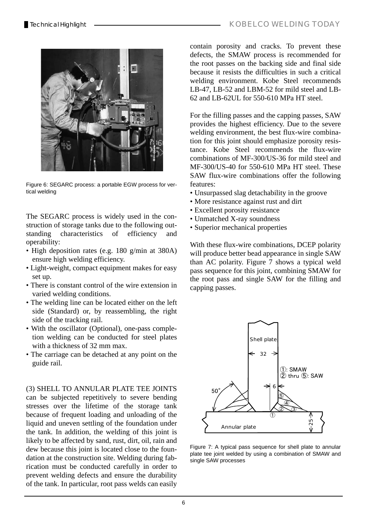

Figure 6: SEGARC process: a portable EGW process for vertical welding

The SEGARC process is widely used in the construction of storage tanks due to the following outstanding characteristics of efficiency and operability:

- High deposition rates (e.g. 180 g/min at 380A) ensure high welding efficiency.
- Light-weight, compact equipment makes for easy set up.
- There is constant control of the wire extension in varied welding conditions.
- The welding line can be located either on the left side (Standard) or, by reassembling, the right side of the tracking rail.
- With the oscillator (Optional), one-pass completion welding can be conducted for steel plates with a thickness of 32 mm max.
- The carriage can be detached at any point on the guide rail.

(3) SHELL TO ANNULAR PLATE TEE JOINTS can be subjected repetitively to severe bending stresses over the lifetime of the storage tank because of frequent loading and unloading of the liquid and uneven settling of the foundation under the tank. In addition, the welding of this joint is likely to be affected by sand, rust, dirt, oil, rain and dew because this joint is located close to the foundation at the construction site. Welding during fabrication must be conducted carefully in order to prevent welding defects and ensure the durability of the tank. In particular, root pass welds can easily

contain porosity and cracks. To prevent these defects, the SMAW process is recommended for the root passes on the backing side and final side because it resists the difficulties in such a critical welding environment. Kobe Steel recommends LB-47, LB-52 and LBM-52 for mild steel and LB-62 and LB-62UL for 550-610 MPa HT steel.

For the filling passes and the capping passes, SAW provides the highest efficiency. Due to the severe welding environment, the best flux-wire combination for this joint should emphasize porosity resistance. Kobe Steel recommends the flux-wire combinations of MF-300/US-36 for mild steel and MF-300/US-40 for 550-610 MPa HT steel. These SAW flux-wire combinations offer the following features:

- Unsurpassed slag detachability in the groove
- More resistance against rust and dirt
- Excellent porosity resistance
- Unmatched X-ray soundness
- Superior mechanical properties

With these flux-wire combinations, DCEP polarity will produce better bead appearance in single SAW than AC polarity. Figure 7 shows a typical weld pass sequence for this joint, combining SMAW for the root pass and single SAW for the filling and capping passes.



Figure 7: A typical pass sequence for shell plate to annular plate tee joint welded by using a combination of SMAW and single SAW processes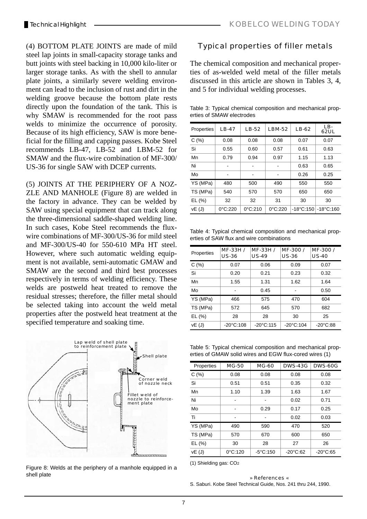(4) BOTTOM PLATE JOINTS are made of mild steel lap joints in small-capacity storage tanks and butt joints with steel backing in 10,000 kilo-liter or larger storage tanks. As with the shell to annular plate joints, a similarly severe welding environment can lead to the inclusion of rust and dirt in the welding groove because the bottom plate rests directly upon the foundation of the tank. This is why SMAW is recommended for the root pass welds to minimize the occurrence of porosity. Because of its high efficiency, SAW is more beneficial for the filling and capping passes. Kobe Steel recommends LB-47, LB-52 and LBM-52 for SMAW and the flux-wire combination of MF-300/ US-36 for single SAW with DCEP currents.

(5) JOINTS AT THE PERIPHERY OF A NOZ-ZLE AND MANHOLE (Figure 8) are welded in the factory in advance. They can be welded by SAW using special equipment that can track along the three-dimensional saddle-shaped welding line. In such cases, Kobe Steel recommends the fluxwire combinations of MF-300/US-36 for mild steel and MF-300/US-40 for 550-610 MPa HT steel. However, where such automatic welding equipment is not available, semi-automatic GMAW and SMAW are the second and third best processes respectively in terms of welding efficiency. These welds are postweld heat treated to remove the residual stresses; therefore, the filler metal should be selected taking into account the weld metal properties after the postweld heat treatment at the specified temperature and soaking time.



Figure 8: Welds at the periphery of a manhole equipped in a shell plate

# Typical properties of filler metals

The chemical composition and mechanical properties of as-welded weld metal of the filler metals discussed in this article are shown in Tables 3, 4, and 5 for individual welding processes.

Table 3: Typical chemical composition and mechanical properties of SMAW electrodes

| Properties | <b>LB-47</b>      | <b>LB-52</b>      | <b>LBM-52</b>     | <b>LB-62</b>        | LB-<br><b>62UL</b>  |
|------------|-------------------|-------------------|-------------------|---------------------|---------------------|
| C(%)       | 0.08              | 0.08              | 0.08              | 0.07                | 0.07                |
| Si         | 0.55              | 0.60              | 0.57              | 0.61                | 0.63                |
| Mn         | 0.79              | 0.94              | 0.97              | 1.15                | 1.13                |
| Ni         |                   |                   |                   | 0.63                | 0.65                |
| Mo         |                   |                   |                   | 0.26                | 0.25                |
| YS (MPa)   | 480               | 500               | 490               | 550                 | 550                 |
| TS (MPa)   | 540               | 570               | 570               | 650                 | 650                 |
| EL(%)      | 32                | 32                | 31                | 30                  | 30                  |
| VE(J)      | $0^{\circ}$ C:220 | $0^{\circ}$ C:210 | $0^{\circ}$ C:220 | $-18^{\circ}$ C:150 | $-18^{\circ}$ C:160 |

Table 4: Typical chemical composition and mechanical properties of SAW flux and wire combinations

| Properties | MF-33H /<br><b>US-36</b> | MF-33H /<br><b>US-49</b> | MF-300/<br><b>US-36</b> | MF-300/<br><b>US-40</b> |
|------------|--------------------------|--------------------------|-------------------------|-------------------------|
| C(%)       | 0.07                     | 0.06                     | 0.09                    | 0.07                    |
| Si         | 0.20                     | 0.21                     | 0.23                    | 0.32                    |
| Mn         | 1.55                     | 1.31                     | 1.62                    | 1.64                    |
| Mo         |                          | 0.45                     |                         | 0.50                    |
| YS (MPa)   | 466                      | 575                      | 470                     | 604                     |
| TS (MPa)   | 572                      | 645                      | 570                     | 682                     |
| EL(%)      | 28                       | 28                       | 30                      | 25                      |
| vE (J)     | $-20^{\circ}$ C:108      | $-20^{\circ}$ C:115      | $-20^{\circ}$ C:104     | $-20^{\circ}$ C:88      |

Table 5: Typical chemical composition and mechanical properties of GMAW solid wires and EGW flux-cored wires (1)

| Properties | <b>MG-50</b>      | <b>MG-60</b>       | <b>DWS-43G</b>     | <b>DWS-60G</b>     |
|------------|-------------------|--------------------|--------------------|--------------------|
| C(%)       | 0.08              | 0.08               | 0.08               | 0.08               |
| Si         | 0.51              | 0.51               | 0.35               | 0.32               |
| Mn         | 1.10              | 1.39               | 1.63               | 1.67               |
| Ni         |                   |                    | 0.02               | 0.71               |
| Mo         |                   | 0.29               | 0.17               | 0.25               |
| Ti         |                   |                    | 0.02               | 0.03               |
| YS (MPa)   | 490               | 590                | 470                | 520                |
| TS (MPa)   | 570               | 670                | 600                | 650                |
| EL(%)      | 30                | 28                 | 27                 | 26                 |
| vE(J)      | $0^{\circ}$ C:120 | $-5^{\circ}$ C:150 | $-20^{\circ}$ C:62 | $-20^{\circ}$ C:65 |

(1) Shielding gas: CO2

### » References « S. Saburi. Kobe Steel Technical Guide, Nos. 241 thru 244, 1990.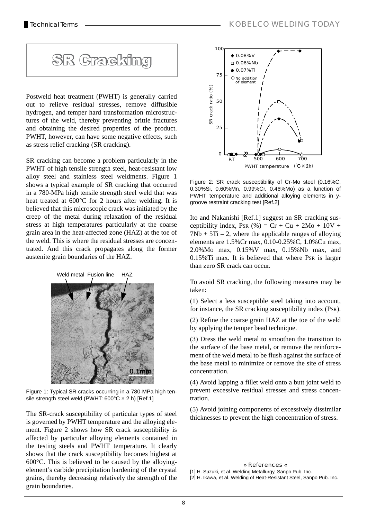

Postweld heat treatment (PWHT) is generally carried out to relieve residual stresses, remove diffusible hydrogen, and temper hard transformation microstructures of the weld, thereby preventing brittle fractures and obtaining the desired properties of the product. PWHT, however, can have some negative effects, such as stress relief cracking (SR cracking).

SR cracking can become a problem particularly in the PWHT of high tensile strength steel, heat-resistant low alloy steel and stainless steel weldments. Figure 1 shows a typical example of SR cracking that occurred in a 780-MPa high tensile strength steel weld that was heat treated at 600°C for 2 hours after welding. It is believed that this microscopic crack was initiated by the creep of the metal during relaxation of the residual stress at high temperatures particularly at the coarse grain area in the heat-affected zone (HAZ) at the toe of the weld. This is where the residual stresses are concentrated. And this crack propagates along the former austenite grain boundaries of the HAZ.



Figure 1: Typical SR cracks occurring in a 780-MPa high tensile strength steel weld (PWHT: 600°C x 2 h) [Ref.1]

The SR-crack susceptibility of particular types of steel is governed by PWHT temperature and the alloying element. Figure 2 shows how SR crack susceptibility is affected by particular alloying elements contained in the testing steels and PWHT temperature. It clearly shows that the crack susceptibility becomes highest at 600°C. This is believed to be caused by the alloyingelement's carbide precipitation hardening of the crystal grains, thereby decreasing relatively the strength of the grain boundaries.



Figure 2: SR crack susceptibility of Cr-Mo steel (0.16%C, 0.30%Si, 0.60%Mn, 0.99%Cr, 0.46%Mo) as a function of PWHT temperature and additional alloying elements in ygroove restraint cracking test [Ref.2]

Ito and Nakanishi [Ref.1] suggest an SR cracking susceptibility index, PsR  $(\% )$  = Cr + Cu + 2Mo + 10V +  $7Nb + 5Ti - 2$ , where the applicable ranges of alloying elements are 1.5%Cr max, 0.10-0.25%C, 1.0%Cu max, 2.0%Mo max, 0.15%V max, 0.15%Nb max, and 0.15%Ti max. It is believed that where PSR is larger than zero SR crack can occur.

To avoid SR cracking, the following measures may be taken:

(1) Select a less susceptible steel taking into account, for instance, the SR cracking susceptibility index (PSR).

(2) Refine the coarse grain HAZ at the toe of the weld by applying the temper bead technique.

(3) Dress the weld metal to smoothen the transition to the surface of the base metal, or remove the reinforcement of the weld metal to be flush against the surface of the base metal to minimize or remove the site of stress concentration.

(4) Avoid lapping a fillet weld onto a butt joint weld to prevent excessive residual stresses and stress concentration.

(5) Avoid joining components of excessively dissimilar thicknesses to prevent the high concentration of stress.

### » References «

[1] H. Suzuki, et al. Welding Metallurgy, Sanpo Pub. Inc. [2] H. Ikawa, et al. Welding of Heat-Resistant Steel, Sanpo Pub. Inc.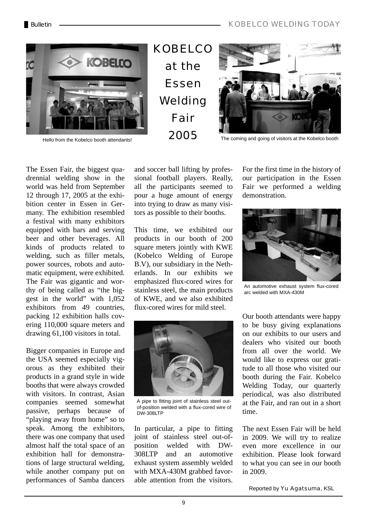# BulletinKOBELCO WELDING TODAY



KOBELCO at the Essen Welding Fair



Hello from the Kobelco booth attendants!<br> **2005** The coming and going of visitors at the Kobelco booth

The Essen Fair, the biggest quadrennial welding show in the world was held from September 12 through 17, 2005 at the exhibition center in Essen in Germany. The exhibition resembled a festival with many exhibitors equipped with bars and serving beer and other beverages. All kinds of products related to welding, such as filler metals, power sources, robots and automatic equipment, were exhibited. The Fair was gigantic and worthy of being called as "the biggest in the world" with 1,052 exhibitors from 49 countries, packing 12 exhibition halls covering 110,000 square meters and drawing 61,100 visitors in total.

Bigger companies in Europe and the USA seemed especially vigorous as they exhibited their products in a grand style in wide booths that were always crowded with visitors. In contrast, Asian companies seemed somewhat passive, perhaps because of "playing away from home" so to speak. Among the exhibitors, there was one company that used almost half the total space of an exhibition hall for demonstrations of large structural welding, while another company put on performances of Samba dancers

and soccer ball lifting by professional football players. Really, all the participants seemed to pour a huge amount of energy into trying to draw as many visitors as possible to their booths.

This time, we exhibited our products in our booth of 200 square meters jointly with KWE (Kobelco Welding of Europe B.V), our subsidiary in the Netherlands. In our exhibits we emphasized flux-cored wires for stainless steel, the main products of KWE, and we also exhibited flux-cored wires for mild steel.



A pipe to fitting joint of stainless steel outof-position welded with a flux-cored wire of DW-308LTP

In particular, a pipe to fitting joint of stainless steel out-ofposition welded with DW-308LTP and an automotive exhaust system assembly welded with MXA-430M grabbed favorable attention from the visitors.

For the first time in the history of our participation in the Essen Fair we performed a welding demonstration.



An automotive exhaust system flux-cored arc welded with MXA-430M

Our booth attendants were happy to be busy giving explanations on our exhibits to our users and dealers who visited our booth from all over the world. We would like to express our gratitude to all those who visited our booth during the Fair. Kobelco Welding Today, our quarterly periodical, was also distributed at the Fair, and ran out in a short time.

The next Essen Fair will be held in 2009. We will try to realize even more excellence in our exhibition. Please look forward to what you can see in our booth in 2009.

Reported by Yu Agatsuma, KSL